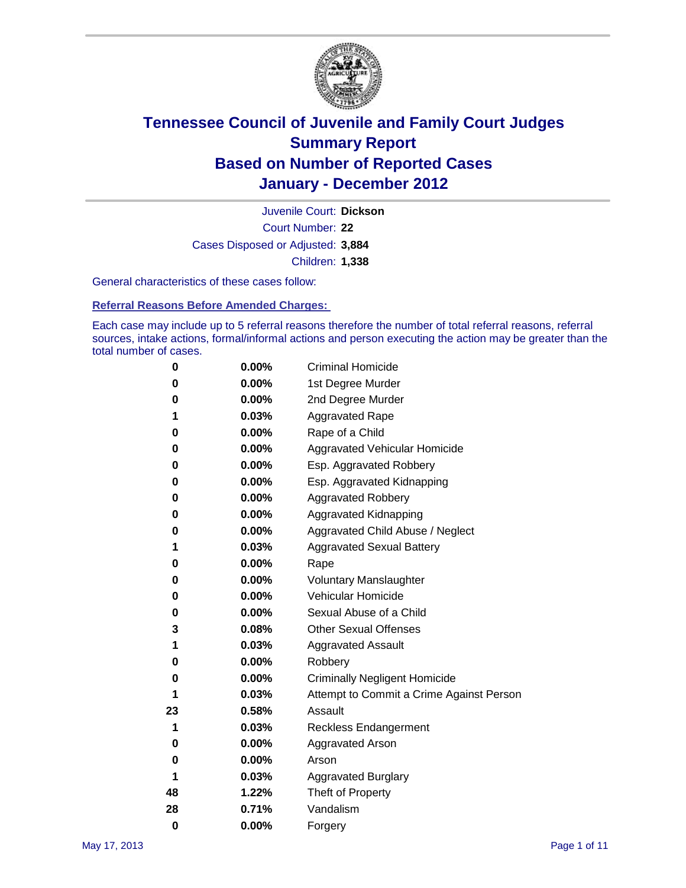

Court Number: **22** Juvenile Court: **Dickson** Cases Disposed or Adjusted: **3,884** Children: **1,338**

General characteristics of these cases follow:

**Referral Reasons Before Amended Charges:** 

Each case may include up to 5 referral reasons therefore the number of total referral reasons, referral sources, intake actions, formal/informal actions and person executing the action may be greater than the total number of cases.

| 0  | 0.00%    | <b>Criminal Homicide</b>                 |
|----|----------|------------------------------------------|
| 0  | 0.00%    | 1st Degree Murder                        |
| 0  | 0.00%    | 2nd Degree Murder                        |
| 1  | 0.03%    | <b>Aggravated Rape</b>                   |
| 0  | 0.00%    | Rape of a Child                          |
| 0  | 0.00%    | Aggravated Vehicular Homicide            |
| 0  | 0.00%    | Esp. Aggravated Robbery                  |
| 0  | 0.00%    | Esp. Aggravated Kidnapping               |
| 0  | 0.00%    | <b>Aggravated Robbery</b>                |
| 0  | 0.00%    | Aggravated Kidnapping                    |
| 0  | 0.00%    | Aggravated Child Abuse / Neglect         |
| 1  | 0.03%    | <b>Aggravated Sexual Battery</b>         |
| 0  | 0.00%    | Rape                                     |
| 0  | 0.00%    | <b>Voluntary Manslaughter</b>            |
| 0  | 0.00%    | Vehicular Homicide                       |
| 0  | 0.00%    | Sexual Abuse of a Child                  |
| 3  | 0.08%    | <b>Other Sexual Offenses</b>             |
| 1  | 0.03%    | <b>Aggravated Assault</b>                |
| 0  | $0.00\%$ | Robbery                                  |
| 0  | 0.00%    | <b>Criminally Negligent Homicide</b>     |
| 1  | 0.03%    | Attempt to Commit a Crime Against Person |
| 23 | 0.58%    | Assault                                  |
| 1  | 0.03%    | <b>Reckless Endangerment</b>             |
| 0  | 0.00%    | <b>Aggravated Arson</b>                  |
| 0  | 0.00%    | Arson                                    |
| 1  | 0.03%    | <b>Aggravated Burglary</b>               |
| 48 | 1.22%    | Theft of Property                        |
| 28 | 0.71%    | Vandalism                                |
| 0  | 0.00%    | Forgery                                  |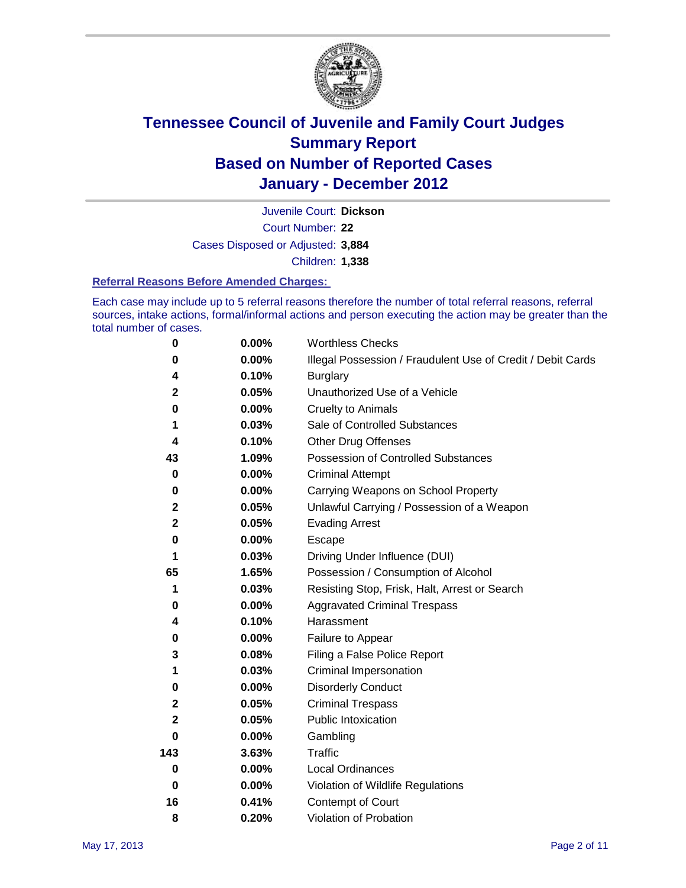

Court Number: **22** Juvenile Court: **Dickson** Cases Disposed or Adjusted: **3,884** Children: **1,338**

#### **Referral Reasons Before Amended Charges:**

Each case may include up to 5 referral reasons therefore the number of total referral reasons, referral sources, intake actions, formal/informal actions and person executing the action may be greater than the total number of cases.

| $\pmb{0}$   | 0.00%    | <b>Worthless Checks</b>                                     |
|-------------|----------|-------------------------------------------------------------|
| 0           | 0.00%    | Illegal Possession / Fraudulent Use of Credit / Debit Cards |
| 4           | 0.10%    | <b>Burglary</b>                                             |
| 2           | 0.05%    | Unauthorized Use of a Vehicle                               |
| 0           | $0.00\%$ | <b>Cruelty to Animals</b>                                   |
| 1           | 0.03%    | Sale of Controlled Substances                               |
| 4           | 0.10%    | <b>Other Drug Offenses</b>                                  |
| 43          | 1.09%    | Possession of Controlled Substances                         |
| 0           | $0.00\%$ | <b>Criminal Attempt</b>                                     |
| 0           | 0.00%    | Carrying Weapons on School Property                         |
| $\mathbf 2$ | 0.05%    | Unlawful Carrying / Possession of a Weapon                  |
| $\mathbf 2$ | 0.05%    | <b>Evading Arrest</b>                                       |
| 0           | 0.00%    | Escape                                                      |
| 1           | 0.03%    | Driving Under Influence (DUI)                               |
| 65          | 1.65%    | Possession / Consumption of Alcohol                         |
| 1           | 0.03%    | Resisting Stop, Frisk, Halt, Arrest or Search               |
| 0           | $0.00\%$ | <b>Aggravated Criminal Trespass</b>                         |
| 4           | 0.10%    | Harassment                                                  |
| $\pmb{0}$   | 0.00%    | Failure to Appear                                           |
| 3           | 0.08%    | Filing a False Police Report                                |
| 1           | 0.03%    | Criminal Impersonation                                      |
| 0           | $0.00\%$ | <b>Disorderly Conduct</b>                                   |
| 2           | 0.05%    | <b>Criminal Trespass</b>                                    |
| 2           | 0.05%    | Public Intoxication                                         |
| 0           | $0.00\%$ | Gambling                                                    |
| 143         | 3.63%    | <b>Traffic</b>                                              |
| 0           | $0.00\%$ | Local Ordinances                                            |
| $\mathbf 0$ | 0.00%    | Violation of Wildlife Regulations                           |
| 16          | 0.41%    | Contempt of Court                                           |
| 8           | 0.20%    | Violation of Probation                                      |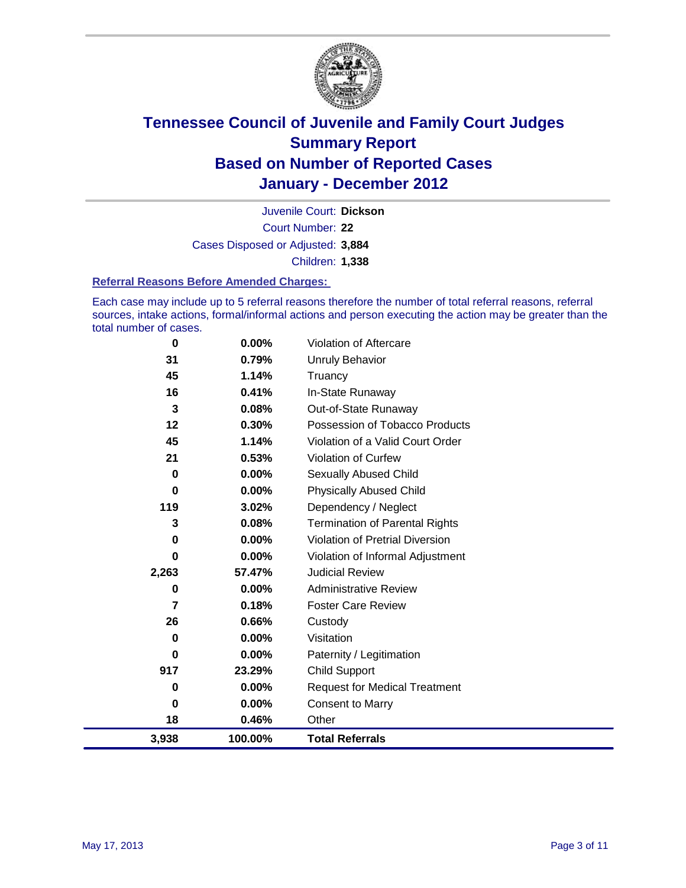

Court Number: **22** Juvenile Court: **Dickson** Cases Disposed or Adjusted: **3,884** Children: **1,338**

#### **Referral Reasons Before Amended Charges:**

Each case may include up to 5 referral reasons therefore the number of total referral reasons, referral sources, intake actions, formal/informal actions and person executing the action may be greater than the total number of cases.

| 0     | 0.00%    | Violation of Aftercare                 |
|-------|----------|----------------------------------------|
| 31    | 0.79%    | Unruly Behavior                        |
| 45    | 1.14%    | Truancy                                |
| 16    | 0.41%    | In-State Runaway                       |
| 3     | 0.08%    | Out-of-State Runaway                   |
| 12    | 0.30%    | Possession of Tobacco Products         |
| 45    | 1.14%    | Violation of a Valid Court Order       |
| 21    | 0.53%    | Violation of Curfew                    |
| 0     | $0.00\%$ | Sexually Abused Child                  |
| 0     | 0.00%    | <b>Physically Abused Child</b>         |
| 119   | 3.02%    | Dependency / Neglect                   |
| 3     | 0.08%    | <b>Termination of Parental Rights</b>  |
| 0     | 0.00%    | <b>Violation of Pretrial Diversion</b> |
| 0     | 0.00%    | Violation of Informal Adjustment       |
| 2,263 | 57.47%   | <b>Judicial Review</b>                 |
| 0     | $0.00\%$ | <b>Administrative Review</b>           |
| 7     | 0.18%    | <b>Foster Care Review</b>              |
| 26    | 0.66%    | Custody                                |
| 0     | 0.00%    | Visitation                             |
| 0     | $0.00\%$ | Paternity / Legitimation               |
| 917   | 23.29%   | <b>Child Support</b>                   |
| 0     | 0.00%    | <b>Request for Medical Treatment</b>   |
| 0     | $0.00\%$ | <b>Consent to Marry</b>                |
| 18    | 0.46%    | Other                                  |
| 3,938 | 100.00%  | <b>Total Referrals</b>                 |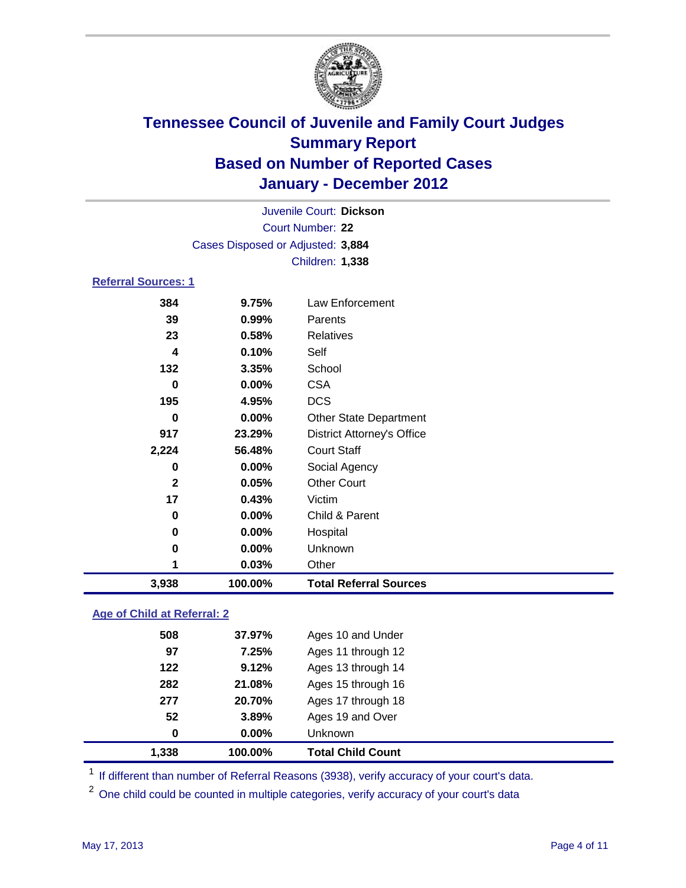

|                            |                                   | Juvenile Court: Dickson           |  |
|----------------------------|-----------------------------------|-----------------------------------|--|
|                            | Court Number: 22                  |                                   |  |
|                            | Cases Disposed or Adjusted: 3,884 |                                   |  |
|                            |                                   | <b>Children: 1,338</b>            |  |
| <b>Referral Sources: 1</b> |                                   |                                   |  |
| 384                        | 9.75%                             | Law Enforcement                   |  |
| 39                         | 0.99%                             | Parents                           |  |
| 23                         | 0.58%                             | Relatives                         |  |
| $\overline{\mathbf{4}}$    | 0.10%                             | Self                              |  |
| 132                        | 3.35%                             | School                            |  |
| 0                          | 0.00%                             | <b>CSA</b>                        |  |
| 195                        | 4.95%                             | <b>DCS</b>                        |  |
| 0                          | 0.00%                             | <b>Other State Department</b>     |  |
| 917                        | 23.29%                            | <b>District Attorney's Office</b> |  |
| 2,224                      | 56.48%                            | <b>Court Staff</b>                |  |
| 0                          | 0.00%                             | Social Agency                     |  |
| $\overline{2}$             | 0.05%                             | <b>Other Court</b>                |  |
| 17                         | 0.43%                             | Victim                            |  |
| 0                          | 0.00%                             | Child & Parent                    |  |
| 0                          | 0.00%                             | Hospital                          |  |
| 0                          | 0.00%                             | Unknown                           |  |
| 1                          | 0.03%                             | Other                             |  |
| 3,938                      | 100.00%                           | <b>Total Referral Sources</b>     |  |
|                            |                                   |                                   |  |

### **Age of Child at Referral: 2**

| 277<br>52<br>$\bf{0}$ | 20.70%<br>3.89%<br>$0.00\%$ | Ages 17 through 18<br>Ages 19 and Over<br>Unknown |  |
|-----------------------|-----------------------------|---------------------------------------------------|--|
|                       |                             |                                                   |  |
|                       |                             |                                                   |  |
|                       |                             |                                                   |  |
| 282                   | 21.08%                      | Ages 15 through 16                                |  |
| 122                   | 9.12%                       | Ages 13 through 14                                |  |
| 97                    | 7.25%                       | Ages 11 through 12                                |  |
| 508                   | 37.97%                      | Ages 10 and Under                                 |  |
|                       |                             |                                                   |  |

<sup>1</sup> If different than number of Referral Reasons (3938), verify accuracy of your court's data.

<sup>2</sup> One child could be counted in multiple categories, verify accuracy of your court's data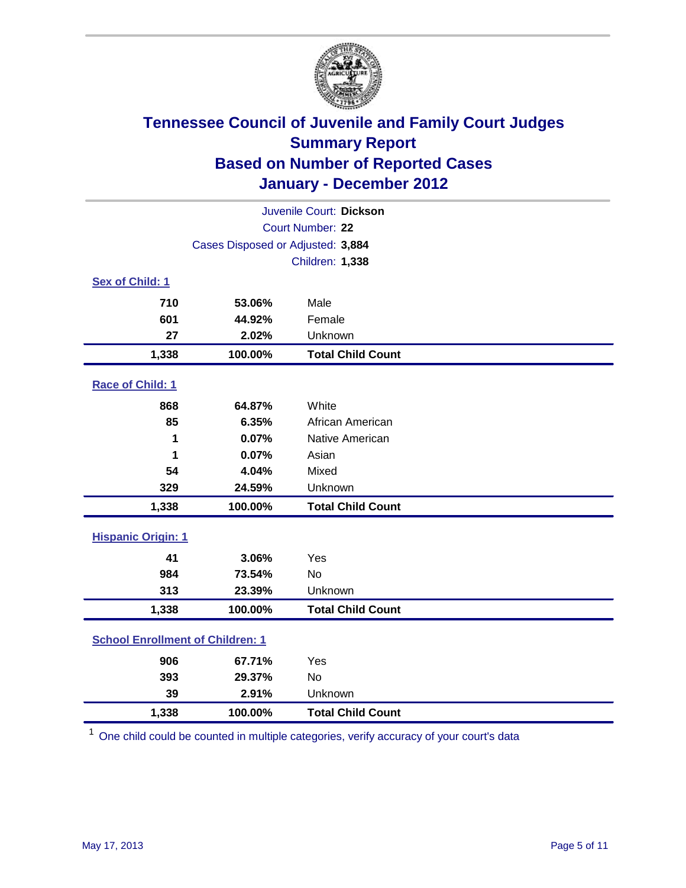

| Juvenile Court: Dickson                 |                                   |                          |  |  |  |
|-----------------------------------------|-----------------------------------|--------------------------|--|--|--|
|                                         | Court Number: 22                  |                          |  |  |  |
|                                         | Cases Disposed or Adjusted: 3,884 |                          |  |  |  |
|                                         |                                   | <b>Children: 1,338</b>   |  |  |  |
| Sex of Child: 1                         |                                   |                          |  |  |  |
| 710                                     | 53.06%                            | Male                     |  |  |  |
| 601                                     | 44.92%                            | Female                   |  |  |  |
| 27                                      | 2.02%                             | Unknown                  |  |  |  |
| 1,338                                   | 100.00%                           | <b>Total Child Count</b> |  |  |  |
| Race of Child: 1                        |                                   |                          |  |  |  |
| 868                                     | 64.87%                            | White                    |  |  |  |
| 85                                      | 6.35%                             | African American         |  |  |  |
| 1                                       | 0.07%                             | Native American          |  |  |  |
| 1                                       | 0.07%                             | Asian                    |  |  |  |
| 54                                      | 4.04%                             | Mixed                    |  |  |  |
| 329                                     | 24.59%                            | Unknown                  |  |  |  |
| 1,338                                   | 100.00%                           | <b>Total Child Count</b> |  |  |  |
| <b>Hispanic Origin: 1</b>               |                                   |                          |  |  |  |
| 41                                      | 3.06%                             | Yes                      |  |  |  |
| 984                                     | 73.54%                            | <b>No</b>                |  |  |  |
| 313                                     | 23.39%                            | Unknown                  |  |  |  |
| 1,338                                   | 100.00%                           | <b>Total Child Count</b> |  |  |  |
| <b>School Enrollment of Children: 1</b> |                                   |                          |  |  |  |
| 906                                     | 67.71%                            | Yes                      |  |  |  |
| 393                                     | 29.37%                            | <b>No</b>                |  |  |  |
| 39                                      | 2.91%                             | Unknown                  |  |  |  |
| 1,338                                   | 100.00%                           | <b>Total Child Count</b> |  |  |  |

<sup>1</sup> One child could be counted in multiple categories, verify accuracy of your court's data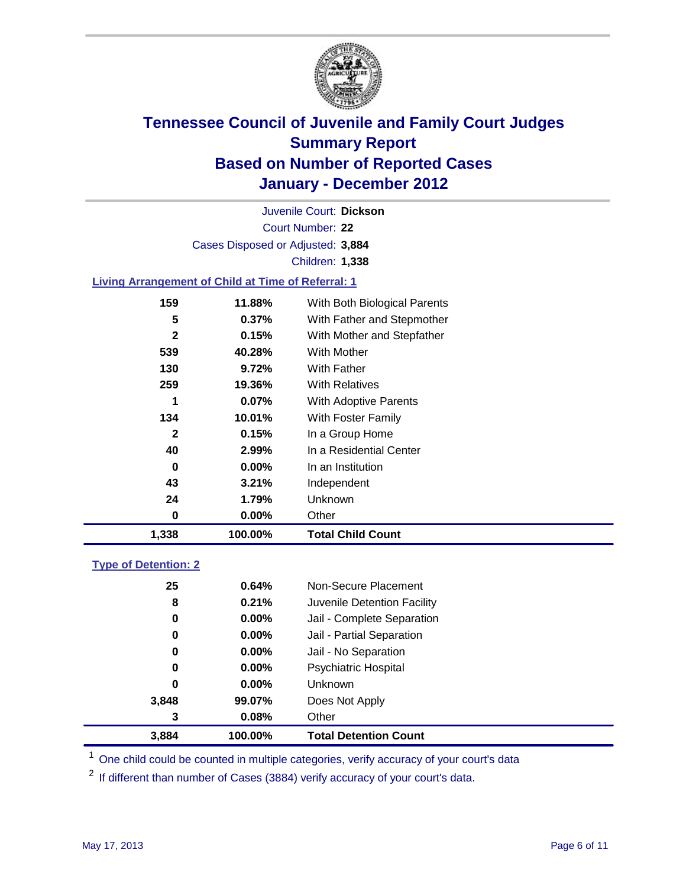

Court Number: **22** Juvenile Court: **Dickson** Cases Disposed or Adjusted: **3,884** Children: **1,338**

### **Living Arrangement of Child at Time of Referral: 1**

| 1,338 | 100.00%  | <b>Total Child Count</b>     |
|-------|----------|------------------------------|
| 0     | 0.00%    | Other                        |
| 24    | 1.79%    | Unknown                      |
| 43    | 3.21%    | Independent                  |
| 0     | $0.00\%$ | In an Institution            |
| 40    | 2.99%    | In a Residential Center      |
| 2     | 0.15%    | In a Group Home              |
| 134   | 10.01%   | With Foster Family           |
| 1     | $0.07\%$ | With Adoptive Parents        |
| 259   | 19.36%   | <b>With Relatives</b>        |
| 130   | 9.72%    | <b>With Father</b>           |
| 539   | 40.28%   | With Mother                  |
| 2     | 0.15%    | With Mother and Stepfather   |
| 5     | $0.37\%$ | With Father and Stepmother   |
| 159   | 11.88%   | With Both Biological Parents |
|       |          |                              |

### **Type of Detention: 2**

| 3.884 | 100.00%  | <b>Total Detention Count</b> |  |
|-------|----------|------------------------------|--|
| 3     | 0.08%    | Other                        |  |
| 3,848 | 99.07%   | Does Not Apply               |  |
| 0     | $0.00\%$ | Unknown                      |  |
| 0     | $0.00\%$ | Psychiatric Hospital         |  |
| 0     | 0.00%    | Jail - No Separation         |  |
| 0     | $0.00\%$ | Jail - Partial Separation    |  |
| 0     | 0.00%    | Jail - Complete Separation   |  |
| 8     | 0.21%    | Juvenile Detention Facility  |  |
| 25    | 0.64%    | Non-Secure Placement         |  |
|       |          |                              |  |

<sup>1</sup> One child could be counted in multiple categories, verify accuracy of your court's data

<sup>2</sup> If different than number of Cases (3884) verify accuracy of your court's data.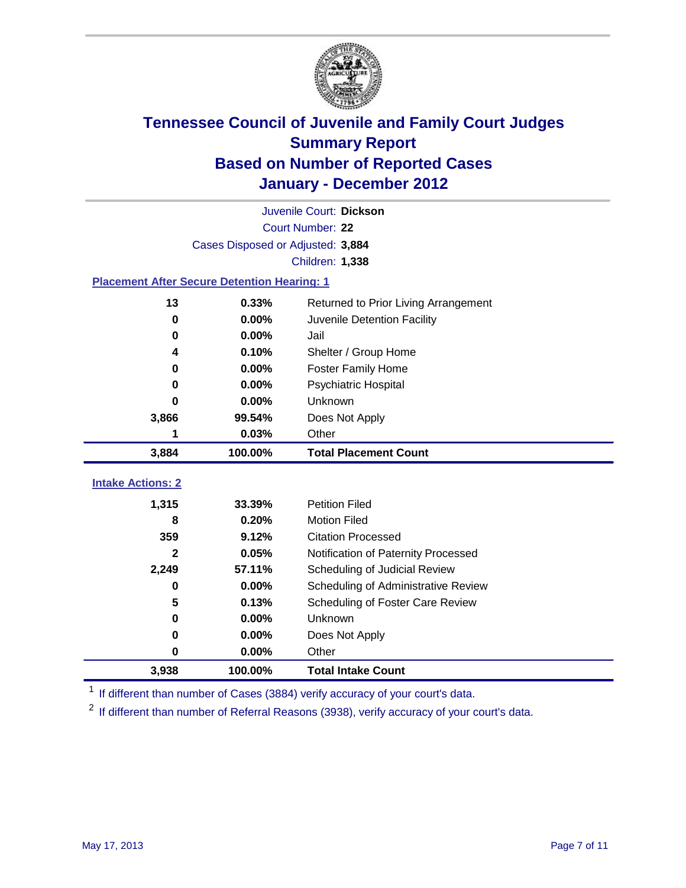

|                                                    | Juvenile Court: Dickson           |                                      |  |  |
|----------------------------------------------------|-----------------------------------|--------------------------------------|--|--|
|                                                    | Court Number: 22                  |                                      |  |  |
|                                                    | Cases Disposed or Adjusted: 3,884 |                                      |  |  |
|                                                    |                                   | Children: 1,338                      |  |  |
| <b>Placement After Secure Detention Hearing: 1</b> |                                   |                                      |  |  |
| 13                                                 | 0.33%                             | Returned to Prior Living Arrangement |  |  |
| 0                                                  | 0.00%                             | Juvenile Detention Facility          |  |  |
| 0                                                  | 0.00%                             | Jail                                 |  |  |
| 4                                                  | 0.10%                             | Shelter / Group Home                 |  |  |
| 0                                                  | 0.00%                             | <b>Foster Family Home</b>            |  |  |
| 0                                                  | 0.00%                             | Psychiatric Hospital                 |  |  |
| 0                                                  | 0.00%                             | Unknown                              |  |  |
| 3,866                                              | 99.54%                            | Does Not Apply                       |  |  |
| 1                                                  | 0.03%                             | Other                                |  |  |
| 3,884                                              | 100.00%                           | <b>Total Placement Count</b>         |  |  |
| <b>Intake Actions: 2</b>                           |                                   |                                      |  |  |
|                                                    |                                   |                                      |  |  |
| 1,315                                              | 33.39%                            | <b>Petition Filed</b>                |  |  |
| 8                                                  | 0.20%                             | <b>Motion Filed</b>                  |  |  |
| 359                                                | 9.12%                             | <b>Citation Processed</b>            |  |  |
| $\mathbf{2}$                                       | 0.05%                             | Notification of Paternity Processed  |  |  |
| 2,249                                              | 57.11%                            | Scheduling of Judicial Review        |  |  |
| $\bf{0}$                                           | 0.00%                             | Scheduling of Administrative Review  |  |  |
| 5                                                  | 0.13%                             | Scheduling of Foster Care Review     |  |  |
| $\bf{0}$                                           | 0.00%                             | Unknown                              |  |  |
| 0                                                  | 0.00%                             | Does Not Apply                       |  |  |
| $\pmb{0}$                                          | 0.00%                             | Other                                |  |  |
| 3,938                                              | 100.00%                           | <b>Total Intake Count</b>            |  |  |

<sup>1</sup> If different than number of Cases (3884) verify accuracy of your court's data.

<sup>2</sup> If different than number of Referral Reasons (3938), verify accuracy of your court's data.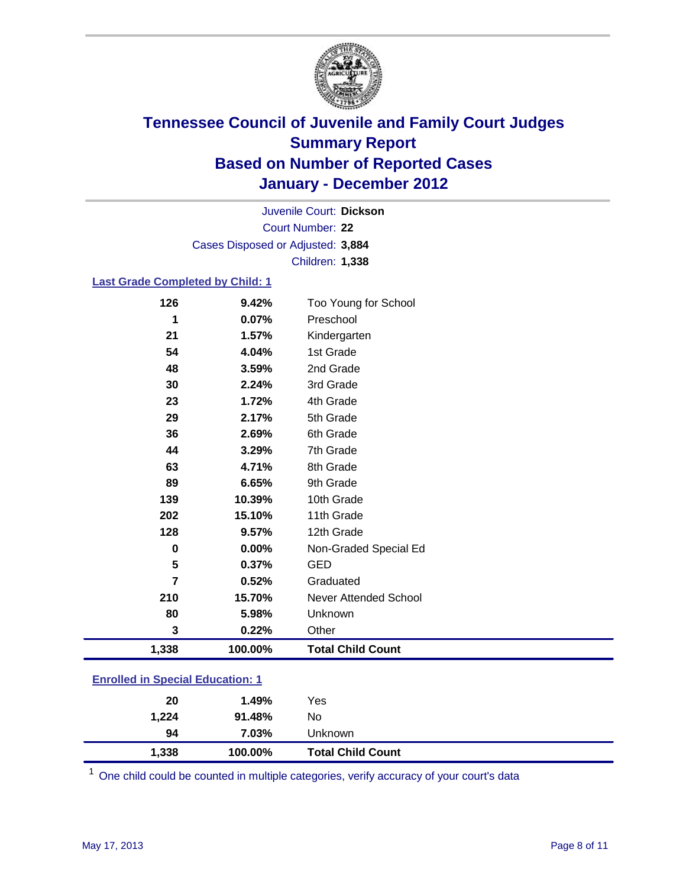

Court Number: **22** Juvenile Court: **Dickson** Cases Disposed or Adjusted: **3,884** Children: **1,338**

#### **Last Grade Completed by Child: 1**

| 126                                     | 9.42%   | Too Young for School         |  |
|-----------------------------------------|---------|------------------------------|--|
| 1                                       | 0.07%   | Preschool                    |  |
| 21                                      | 1.57%   | Kindergarten                 |  |
| 54                                      | 4.04%   | 1st Grade                    |  |
| 48                                      | 3.59%   | 2nd Grade                    |  |
| 30                                      | 2.24%   | 3rd Grade                    |  |
| 23                                      | 1.72%   | 4th Grade                    |  |
| 29                                      | 2.17%   | 5th Grade                    |  |
| 36                                      | 2.69%   | 6th Grade                    |  |
| 44                                      | 3.29%   | 7th Grade                    |  |
| 63                                      | 4.71%   | 8th Grade                    |  |
| 89                                      | 6.65%   | 9th Grade                    |  |
| 139                                     | 10.39%  | 10th Grade                   |  |
| 202                                     | 15.10%  | 11th Grade                   |  |
| 128                                     | 9.57%   | 12th Grade                   |  |
| 0                                       | 0.00%   | Non-Graded Special Ed        |  |
| 5                                       | 0.37%   | <b>GED</b>                   |  |
| 7                                       | 0.52%   | Graduated                    |  |
| 210                                     | 15.70%  | <b>Never Attended School</b> |  |
| 80                                      | 5.98%   | Unknown                      |  |
| 3                                       | 0.22%   | Other                        |  |
| 1,338                                   | 100.00% | <b>Total Child Count</b>     |  |
| <b>Enrolled in Special Education: 1</b> |         |                              |  |

| 1,338          | 100.00% | <b>Total Child Count</b> |  |
|----------------|---------|--------------------------|--|
| 94             | 7.03%   | Unknown                  |  |
| 1,224          | 91.48%  | No                       |  |
| 20             | 1.49%   | Yes                      |  |
| -------------- |         |                          |  |

One child could be counted in multiple categories, verify accuracy of your court's data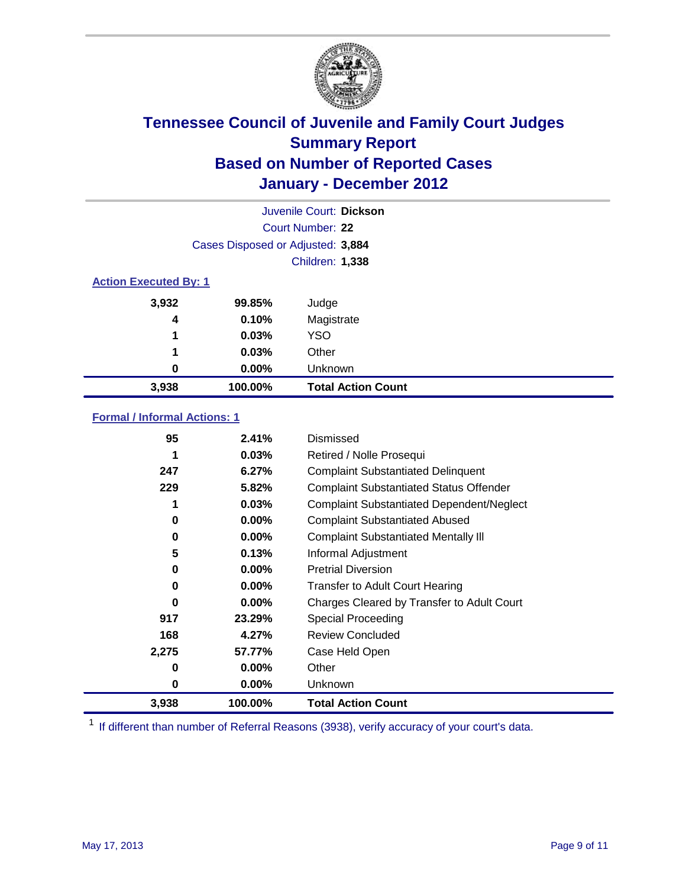

|                              | Juvenile Court: Dickson           |                           |  |  |
|------------------------------|-----------------------------------|---------------------------|--|--|
|                              | Court Number: 22                  |                           |  |  |
|                              | Cases Disposed or Adjusted: 3,884 |                           |  |  |
|                              | Children: 1,338                   |                           |  |  |
| <b>Action Executed By: 1</b> |                                   |                           |  |  |
| 3,932                        | 99.85%                            | Judge                     |  |  |
| 4                            | 0.10%                             | Magistrate                |  |  |
| 1                            | 0.03%                             | <b>YSO</b>                |  |  |
| 1                            | 0.03%                             | Other                     |  |  |
| 0                            | 0.00%                             | Unknown                   |  |  |
| 3,938                        | 100.00%                           | <b>Total Action Count</b> |  |  |

### **Formal / Informal Actions: 1**

| 95    | 2.41%    | Dismissed                                        |
|-------|----------|--------------------------------------------------|
| 1     | 0.03%    | Retired / Nolle Prosequi                         |
| 247   | 6.27%    | <b>Complaint Substantiated Delinquent</b>        |
| 229   | 5.82%    | <b>Complaint Substantiated Status Offender</b>   |
| 1     | 0.03%    | <b>Complaint Substantiated Dependent/Neglect</b> |
| 0     | $0.00\%$ | <b>Complaint Substantiated Abused</b>            |
| 0     | $0.00\%$ | <b>Complaint Substantiated Mentally III</b>      |
| 5     | 0.13%    | Informal Adjustment                              |
| 0     | $0.00\%$ | <b>Pretrial Diversion</b>                        |
| 0     | $0.00\%$ | <b>Transfer to Adult Court Hearing</b>           |
| 0     | $0.00\%$ | Charges Cleared by Transfer to Adult Court       |
| 917   | 23.29%   | Special Proceeding                               |
| 168   | 4.27%    | <b>Review Concluded</b>                          |
| 2,275 | 57.77%   | Case Held Open                                   |
| 0     | $0.00\%$ | Other                                            |
| 0     | $0.00\%$ | <b>Unknown</b>                                   |
| 3,938 | 100.00%  | <b>Total Action Count</b>                        |

<sup>1</sup> If different than number of Referral Reasons (3938), verify accuracy of your court's data.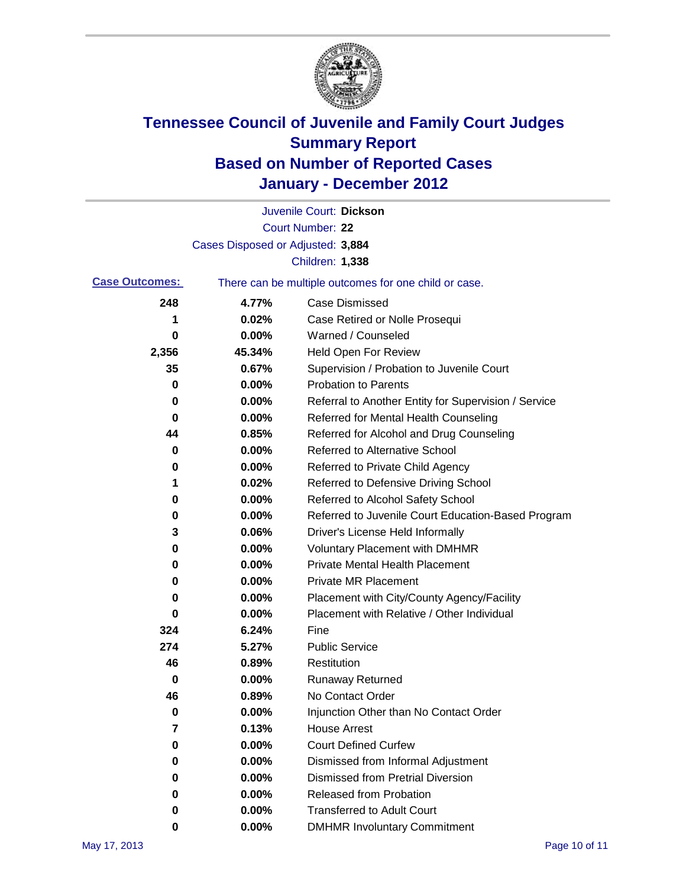

|                       |                                   | Juvenile Court: Dickson                               |
|-----------------------|-----------------------------------|-------------------------------------------------------|
|                       |                                   | <b>Court Number: 22</b>                               |
|                       | Cases Disposed or Adjusted: 3,884 |                                                       |
|                       |                                   | Children: 1,338                                       |
| <b>Case Outcomes:</b> |                                   | There can be multiple outcomes for one child or case. |
| 248                   | 4.77%                             | <b>Case Dismissed</b>                                 |
| 1                     | 0.02%                             | Case Retired or Nolle Prosequi                        |
| 0                     | 0.00%                             | Warned / Counseled                                    |
| 2,356                 | 45.34%                            | <b>Held Open For Review</b>                           |
| 35                    | 0.67%                             | Supervision / Probation to Juvenile Court             |
| 0                     | 0.00%                             | <b>Probation to Parents</b>                           |
| 0                     | 0.00%                             | Referral to Another Entity for Supervision / Service  |
| 0                     | 0.00%                             | Referred for Mental Health Counseling                 |
| 44                    | 0.85%                             | Referred for Alcohol and Drug Counseling              |
| 0                     | 0.00%                             | <b>Referred to Alternative School</b>                 |
| 0                     | 0.00%                             | Referred to Private Child Agency                      |
| 1                     | 0.02%                             | Referred to Defensive Driving School                  |
| 0                     | 0.00%                             | Referred to Alcohol Safety School                     |
| 0                     | 0.00%                             | Referred to Juvenile Court Education-Based Program    |
| 3                     | 0.06%                             | Driver's License Held Informally                      |
| 0                     | 0.00%                             | <b>Voluntary Placement with DMHMR</b>                 |
| 0                     | 0.00%                             | <b>Private Mental Health Placement</b>                |
| 0                     | 0.00%                             | <b>Private MR Placement</b>                           |
| 0                     | 0.00%                             | Placement with City/County Agency/Facility            |
| 0                     | 0.00%                             | Placement with Relative / Other Individual            |
| 324                   | 6.24%                             | Fine                                                  |
| 274                   | 5.27%                             | <b>Public Service</b>                                 |
| 46                    | 0.89%                             | Restitution                                           |
| 0                     | 0.00%                             | Runaway Returned                                      |
| 46                    | 0.89%                             | No Contact Order                                      |
| 0                     | 0.00%                             | Injunction Other than No Contact Order                |
| 7                     | 0.13%                             | <b>House Arrest</b>                                   |
| 0                     | 0.00%                             | <b>Court Defined Curfew</b>                           |
| 0                     | 0.00%                             | Dismissed from Informal Adjustment                    |
| 0                     | 0.00%                             | <b>Dismissed from Pretrial Diversion</b>              |
| 0                     | 0.00%                             | Released from Probation                               |
| 0                     | 0.00%                             | <b>Transferred to Adult Court</b>                     |
| 0                     | $0.00\%$                          | <b>DMHMR Involuntary Commitment</b>                   |